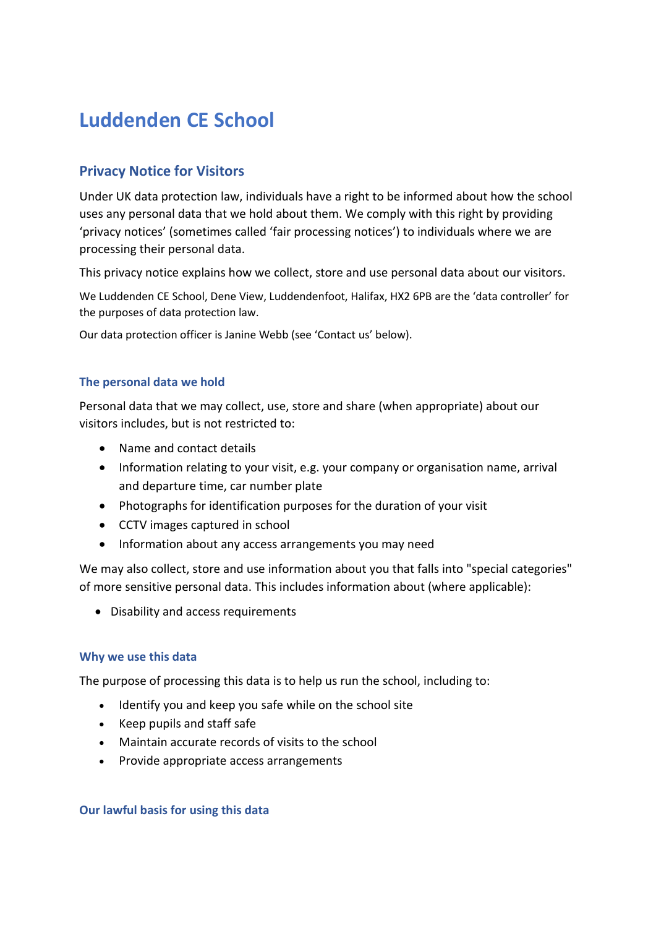# **Luddenden CE School**

# **Privacy Notice for Visitors**

Under UK data protection law, individuals have a right to be informed about how the school uses any personal data that we hold about them. We comply with this right by providing 'privacy notices' (sometimes called 'fair processing notices') to individuals where we are processing their personal data.

This privacy notice explains how we collect, store and use personal data about our visitors.

We Luddenden CE School, Dene View, Luddendenfoot, Halifax, HX2 6PB are the 'data controller' for the purposes of data protection law.

Our data protection officer is Janine Webb (see 'Contact us' below).

#### **The personal data we hold**

Personal data that we may collect, use, store and share (when appropriate) about our visitors includes, but is not restricted to:

- Name and contact details
- Information relating to your visit, e.g. your company or organisation name, arrival and departure time, car number plate
- Photographs for identification purposes for the duration of your visit
- CCTV images captured in school
- Information about any access arrangements you may need

We may also collect, store and use information about you that falls into "special categories" of more sensitive personal data. This includes information about (where applicable):

• Disability and access requirements

#### **Why we use this data**

The purpose of processing this data is to help us run the school, including to:

- Identify you and keep you safe while on the school site
- Keep pupils and staff safe
- Maintain accurate records of visits to the school
- Provide appropriate access arrangements

### **Our lawful basis for using this data**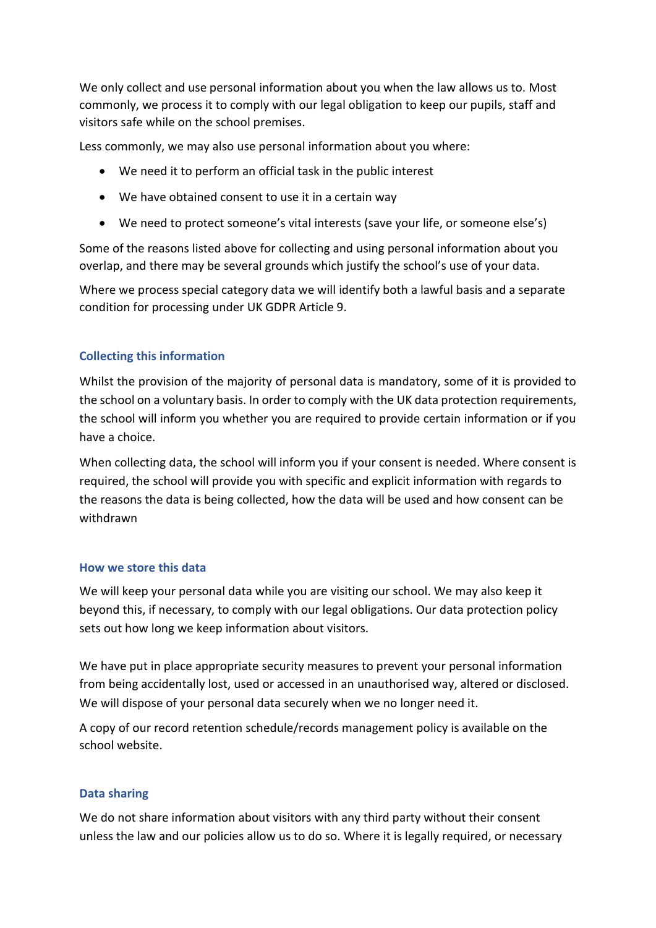We only collect and use personal information about you when the law allows us to. Most commonly, we process it to comply with our legal obligation to keep our pupils, staff and visitors safe while on the school premises.

Less commonly, we may also use personal information about you where:

- We need it to perform an official task in the public interest
- We have obtained consent to use it in a certain way
- We need to protect someone's vital interests (save your life, or someone else's)

Some of the reasons listed above for collecting and using personal information about you overlap, and there may be several grounds which justify the school's use of your data.

Where we process special category data we will identify both a lawful basis and a separate condition for processing under UK GDPR Article 9.

## **Collecting this information**

Whilst the provision of the majority of personal data is mandatory, some of it is provided to the school on a voluntary basis. In order to comply with the UK data protection requirements, the school will inform you whether you are required to provide certain information or if you have a choice.

When collecting data, the school will inform you if your consent is needed. Where consent is required, the school will provide you with specific and explicit information with regards to the reasons the data is being collected, how the data will be used and how consent can be withdrawn

### **How we store this data**

We will keep your personal data while you are visiting our school. We may also keep it beyond this, if necessary, to comply with our legal obligations. Our data protection policy sets out how long we keep information about visitors.

We have put in place appropriate security measures to prevent your personal information from being accidentally lost, used or accessed in an unauthorised way, altered or disclosed. We will dispose of your personal data securely when we no longer need it.

A copy of our record retention schedule/records management policy is available on the school website.

### **Data sharing**

We do not share information about visitors with any third party without their consent unless the law and our policies allow us to do so. Where it is legally required, or necessary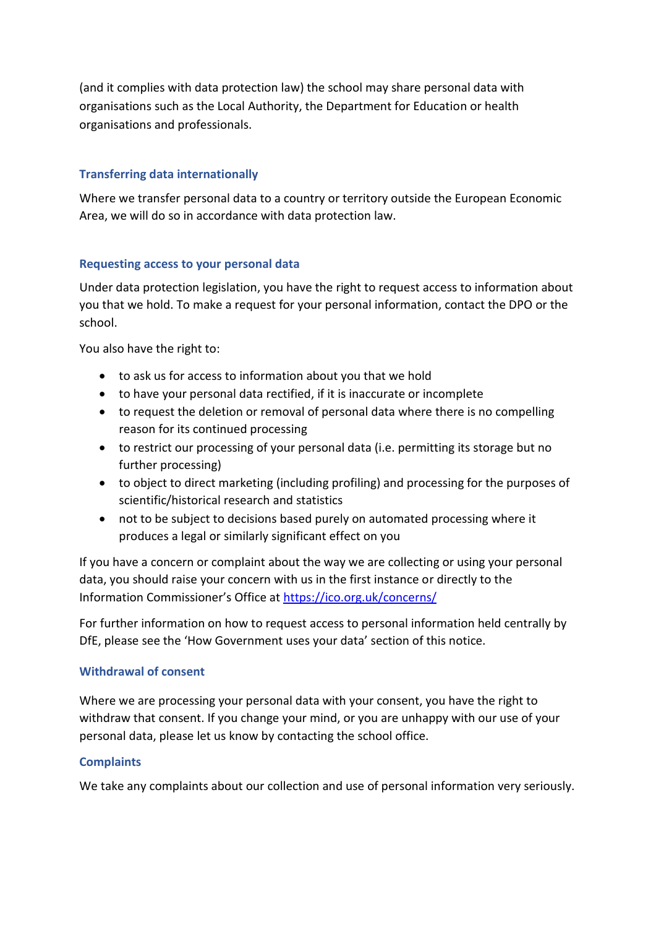(and it complies with data protection law) the school may share personal data with organisations such as the Local Authority, the Department for Education or health organisations and professionals.

# **Transferring data internationally**

Where we transfer personal data to a country or territory outside the European Economic Area, we will do so in accordance with data protection law.

### **Requesting access to your personal data**

Under data protection legislation, you have the right to request access to information about you that we hold. To make a request for your personal information, contact the DPO or the school.

You also have the right to:

- to ask us for access to information about you that we hold
- to have your personal data rectified, if it is inaccurate or incomplete
- to request the deletion or removal of personal data where there is no compelling reason for its continued processing
- to restrict our processing of your personal data (i.e. permitting its storage but no further processing)
- to object to direct marketing (including profiling) and processing for the purposes of scientific/historical research and statistics
- not to be subject to decisions based purely on automated processing where it produces a legal or similarly significant effect on you

If you have a concern or complaint about the way we are collecting or using your personal data, you should raise your concern with us in the first instance or directly to the Information Commissioner's Office at <https://ico.org.uk/concerns/>

For further information on how to request access to personal information held centrally by DfE, please see the 'How Government uses your data' section of this notice.

### **Withdrawal of consent**

Where we are processing your personal data with your consent, you have the right to withdraw that consent. If you change your mind, or you are unhappy with our use of your personal data, please let us know by contacting the school office.

### **Complaints**

We take any complaints about our collection and use of personal information very seriously.